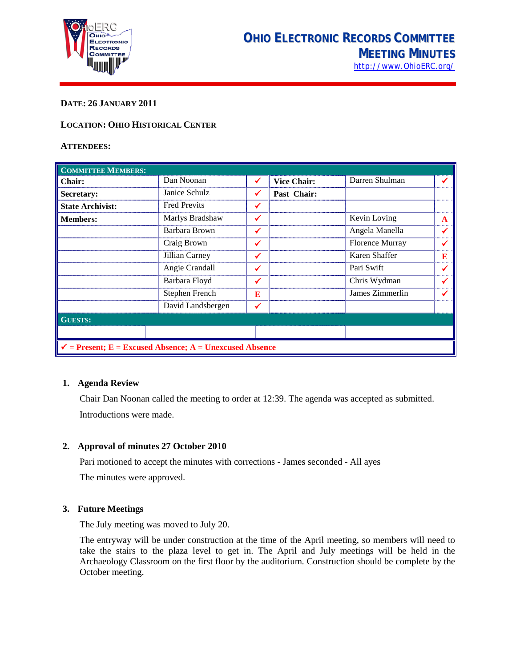

# **DATE: 26 JANUARY 2011**

# **LOCATION: OHIO HISTORICAL CENTER**

## **ATTENDEES:**

| <b>COMMITTEE MEMBERS:</b>                                          |                     |              |                    |                        |   |
|--------------------------------------------------------------------|---------------------|--------------|--------------------|------------------------|---|
| Chair:                                                             | Dan Noonan          | ✔            | <b>Vice Chair:</b> | Darren Shulman         |   |
| Secretary:                                                         | Janice Schulz       | ✔            | Past Chair:        |                        |   |
| <b>State Archivist:</b>                                            | <b>Fred Previts</b> | ✔            |                    |                        |   |
| <b>Members:</b>                                                    | Marlys Bradshaw     | ✓            |                    | Kevin Loving           | A |
|                                                                    | Barbara Brown       | $\checkmark$ |                    | Angela Manella         |   |
|                                                                    | Craig Brown         | ✓            |                    | <b>Florence Murray</b> |   |
|                                                                    | Jillian Carney      | ✔            |                    | Karen Shaffer          | Е |
|                                                                    | Angie Crandall      | ✓            |                    | Pari Swift             |   |
|                                                                    | Barbara Floyd       | ✓            |                    | Chris Wydman           |   |
|                                                                    | Stephen French      | E            |                    | James Zimmerlin        |   |
|                                                                    | David Landsbergen   | ✔            |                    |                        |   |
| <b>GUESTS:</b>                                                     |                     |              |                    |                        |   |
|                                                                    |                     |              |                    |                        |   |
| $\checkmark$ = Present; E = Excused Absence; A = Unexcused Absence |                     |              |                    |                        |   |

## **1. Agenda Review**

Chair Dan Noonan called the meeting to order at 12:39. The agenda was accepted as submitted. Introductions were made.

## **2. Approval of minutes 27 October 2010**

Pari motioned to accept the minutes with corrections - James seconded - All ayes The minutes were approved.

## **3. Future Meetings**

The July meeting was moved to July 20.

The entryway will be under construction at the time of the April meeting, so members will need to take the stairs to the plaza level to get in. The April and July meetings will be held in the Archaeology Classroom on the first floor by the auditorium. Construction should be complete by the October meeting.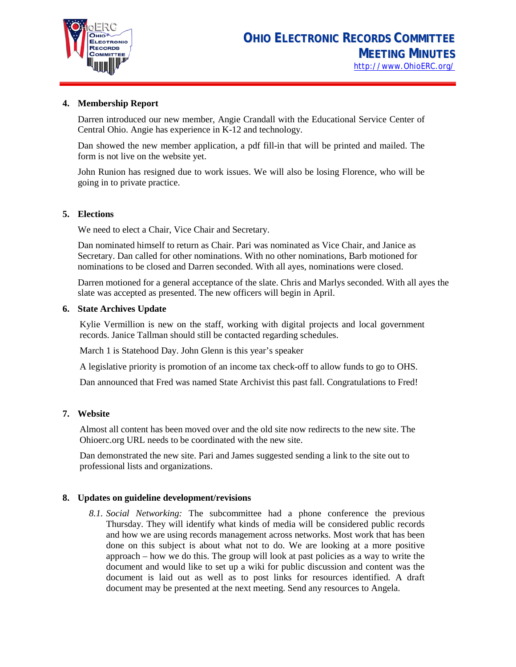

# **4. Membership Report**

Darren introduced our new member, Angie Crandall with the Educational Service Center of Central Ohio. Angie has experience in K-12 and technology.

Dan showed the new member application, a pdf fill-in that will be printed and mailed. The form is not live on the website yet.

John Runion has resigned due to work issues. We will also be losing Florence, who will be going in to private practice.

## **5. Elections**

We need to elect a Chair, Vice Chair and Secretary.

Dan nominated himself to return as Chair. Pari was nominated as Vice Chair, and Janice as Secretary. Dan called for other nominations. With no other nominations, Barb motioned for nominations to be closed and Darren seconded. With all ayes, nominations were closed.

Darren motioned for a general acceptance of the slate. Chris and Marlys seconded. With all ayes the slate was accepted as presented. The new officers will begin in April.

## **6. State Archives Update**

Kylie Vermillion is new on the staff, working with digital projects and local government records. Janice Tallman should still be contacted regarding schedules.

March 1 is Statehood Day. John Glenn is this year's speaker

A legislative priority is promotion of an income tax check-off to allow funds to go to OHS.

Dan announced that Fred was named State Archivist this past fall. Congratulations to Fred!

# **7. Website**

Almost all content has been moved over and the old site now redirects to the new site. The Ohioerc.org URL needs to be coordinated with the new site.

Dan demonstrated the new site. Pari and James suggested sending a link to the site out to professional lists and organizations.

# **8. Updates on guideline development/revisions**

*8.1. Social Networking:* The subcommittee had a phone conference the previous Thursday. They will identify what kinds of media will be considered public records and how we are using records management across networks. Most work that has been done on this subject is about what not to do. We are looking at a more positive approach – how we do this. The group will look at past policies as a way to write the document and would like to set up a wiki for public discussion and content was the document is laid out as well as to post links for resources identified. A draft document may be presented at the next meeting. Send any resources to Angela.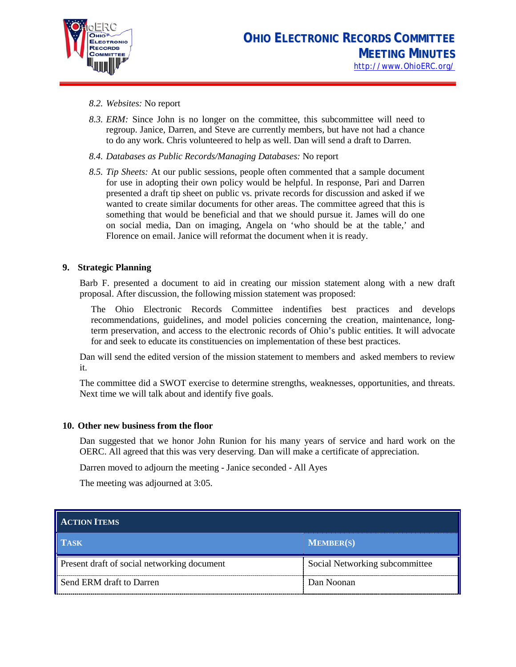

- *8.2. Websites:* No report
- *8.3. ERM:* Since John is no longer on the committee, this subcommittee will need to regroup. Janice, Darren, and Steve are currently members, but have not had a chance to do any work. Chris volunteered to help as well. Dan will send a draft to Darren.
- *8.4. Databases as Public Records/Managing Databases:* No report
- *8.5. Tip Sheets:* At our public sessions, people often commented that a sample document for use in adopting their own policy would be helpful. In response, Pari and Darren presented a draft tip sheet on public vs. private records for discussion and asked if we wanted to create similar documents for other areas. The committee agreed that this is something that would be beneficial and that we should pursue it. James will do one on social media, Dan on imaging, Angela on 'who should be at the table,' and Florence on email. Janice will reformat the document when it is ready.

## **9. Strategic Planning**

Barb F. presented a document to aid in creating our mission statement along with a new draft proposal. After discussion, the following mission statement was proposed:

The Ohio Electronic Records Committee indentifies best practices and develops recommendations, guidelines, and model policies concerning the creation, maintenance, longterm preservation, and access to the electronic records of Ohio's public entities. It will advocate for and seek to educate its constituencies on implementation of these best practices.

Dan will send the edited version of the mission statement to members and asked members to review it.

The committee did a SWOT exercise to determine strengths, weaknesses, opportunities, and threats. Next time we will talk about and identify five goals.

## **10. Other new business from the floor**

Dan suggested that we honor John Runion for his many years of service and hard work on the OERC. All agreed that this was very deserving. Dan will make a certificate of appreciation.

Darren moved to adjourn the meeting - Janice seconded - All Ayes

The meeting was adjourned at 3:05.

| <b>ACTION ITEMS</b>                         |                                |  |  |  |
|---------------------------------------------|--------------------------------|--|--|--|
| <b>TASK</b>                                 | <b>MEMBER(S)</b>               |  |  |  |
| Present draft of social networking document | Social Networking subcommittee |  |  |  |
| Send ERM draft to Darren                    | Dan Noonan                     |  |  |  |